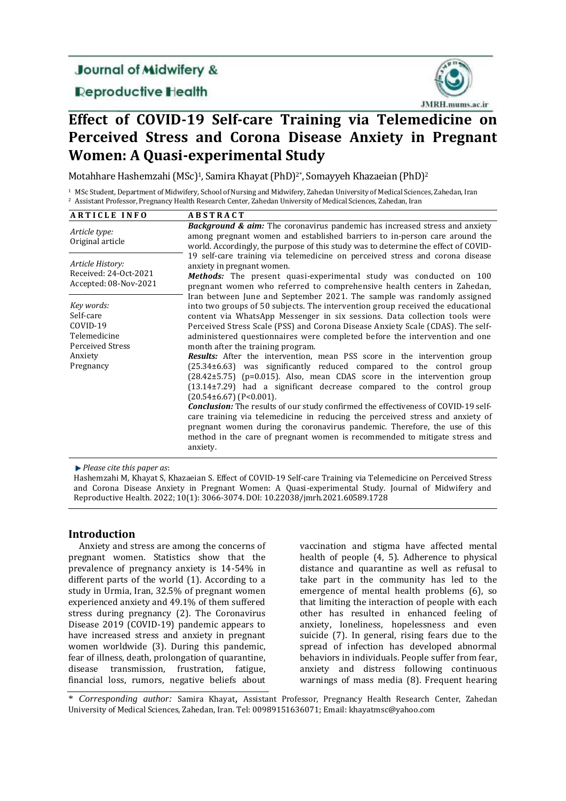# **Journal of Midwifery &**

# **Reproductive Health**



# **Effect of COVID-19 Self-care Training via Telemedicine on Perceived Stress and Corona Disease Anxiety in Pregnant Women: A Quasi-experimental Study**

Motahhare Hashemzahi (MSc)<sup>1</sup>, Samira Khayat (PhD)<sup>2</sup>, Somayyeh Khazaeian (PhD)<sup>2</sup>

<sup>1</sup> MSc Student, Department of Midwifery, School of Nursing and Midwifery, Zahedan University of Medical Sciences, Zahedan, Iran <sup>2</sup> Assistant Professor, Pregnancy Health Research Center, Zahedan University of Medical Sciences, Zahedan, Iran

| <b>ARTICLE INFO</b>                                                                                    | <b>ABSTRACT</b>                                                                                                                                                                                                                                                                                                                                                                                                                                                                                                                                                                                                                                                                                                                                                                                                                                                                                                                                                                                                                                                                                                                                              |  |  |
|--------------------------------------------------------------------------------------------------------|--------------------------------------------------------------------------------------------------------------------------------------------------------------------------------------------------------------------------------------------------------------------------------------------------------------------------------------------------------------------------------------------------------------------------------------------------------------------------------------------------------------------------------------------------------------------------------------------------------------------------------------------------------------------------------------------------------------------------------------------------------------------------------------------------------------------------------------------------------------------------------------------------------------------------------------------------------------------------------------------------------------------------------------------------------------------------------------------------------------------------------------------------------------|--|--|
| Article type:<br>Original article                                                                      | <b>Background &amp; aim:</b> The coronavirus pandemic has increased stress and anxiety<br>among pregnant women and established barriers to in-person care around the<br>world. Accordingly, the purpose of this study was to determine the effect of COVID-                                                                                                                                                                                                                                                                                                                                                                                                                                                                                                                                                                                                                                                                                                                                                                                                                                                                                                  |  |  |
| Article History:<br>Received: 24-Oct-2021<br>Accepted: 08-Nov-2021                                     | 19 self-care training via telemedicine on perceived stress and corona disease<br>anxiety in pregnant women.<br>Methods: The present quasi-experimental study was conducted on 100<br>pregnant women who referred to comprehensive health centers in Zahedan,                                                                                                                                                                                                                                                                                                                                                                                                                                                                                                                                                                                                                                                                                                                                                                                                                                                                                                 |  |  |
| Key words:<br>Self-care<br>COVID-19<br>Telemedicine<br><b>Perceived Stress</b><br>Anxiety<br>Pregnancy | Iran between June and September 2021. The sample was randomly assigned<br>into two groups of 50 subjects. The intervention group received the educational<br>content via WhatsApp Messenger in six sessions. Data collection tools were<br>Perceived Stress Scale (PSS) and Corona Disease Anxiety Scale (CDAS). The self-<br>administered questionnaires were completed before the intervention and one<br>month after the training program.<br>Results: After the intervention, mean PSS score in the intervention group<br>$(25.34\pm6.63)$ was significantly reduced compared to the control<br>group<br>$(28.42\pm5.75)$ (p=0.015). Also, mean CDAS score in the intervention group<br>$(13.14\pm7.29)$ had a significant decrease compared to the control group<br>$(20.54\pm 6.67)$ (P<0.001).<br><b>Conclusion:</b> The results of our study confirmed the effectiveness of COVID-19 self-<br>care training via telemedicine in reducing the perceived stress and anxiety of<br>pregnant women during the coronavirus pandemic. Therefore, the use of this<br>method in the care of pregnant women is recommended to mitigate stress and<br>anxiety. |  |  |

*Please cite this paper as*:

Hashemzahi M, Khayat S, Khazaeian S. Effect of COVID-19 Self-care Training via Telemedicine on Perceived Stress and Corona Disease Anxiety in Pregnant Women: A Quasi-experimental Study. Journal of Midwifery and Reproductive Health. 2022; 10(1): 3066-3074. DOI: 10.22038/jmrh.2021.60589.1728

## **Introduction**

Anxiety and stress are among the concerns of pregnant women. Statistics show that the prevalence of pregnancy anxiety is 14-54% in different parts of the world (1). According to a study in Urmia, Iran, 32.5% of pregnant women experienced anxiety and 49.1% of them suffered stress during pregnancy (2). The Coronavirus Disease 2019 (COVID-19) pandemic appears to have increased stress and anxiety in pregnant women worldwide (3). During this pandemic, fear of illness, death, prolongation of quarantine, disease transmission, frustration, fatigue, financial loss, rumors, negative beliefs about

vaccination and stigma have affected mental health of people (4, 5). Adherence to physical distance and quarantine as well as refusal to take part in the community has led to the emergence of mental health problems (6), so that limiting the interaction of people with each other has resulted in enhanced feeling of anxiety, loneliness, hopelessness and even suicide (7). In general, rising fears due to the spread of infection has developed abnormal behaviors in individuals. People suffer from fear, anxiety and distress following continuous warnings of mass media (8). Frequent hearing

\* *Corresponding author:* Samira Khayat, Assistant Professor, Pregnancy Health Research Center, Zahedan University of Medical Sciences, Zahedan, Iran. Tel: 00989151636071; Email: khayatmsc@yahoo.com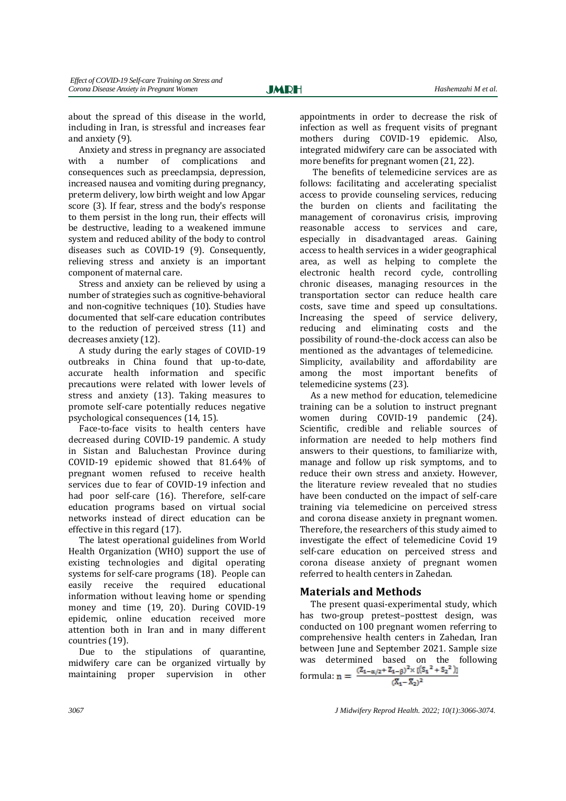about the spread of this disease in the world, including in Iran, is stressful and increases fear and anxiety (9).

Anxiety and stress in pregnancy are associated with a number of complications and consequences such as preeclampsia, depression, increased nausea and vomiting during pregnancy, preterm delivery, low birth weight and low Apgar score (3). If fear, stress and the body's response to them persist in the long run, their effects will be destructive, leading to a weakened immune system and reduced ability of the body to control diseases such as COVID-19 (9). Consequently, relieving stress and anxiety is an important component of maternal care.

Stress and anxiety can be relieved by using a number of strategies such as cognitive-behavioral and non-cognitive techniques (10). Studies have documented that self-care education contributes to the reduction of perceived stress (11) and decreases anxiety (12).

A study during the early stages of COVID-19 outbreaks in China found that up-to-date, accurate health information and specific precautions were related with lower levels of stress and anxiety (13). Taking measures to promote self-care potentially reduces negative psychological consequences (14, 15).

Face-to-face visits to health centers have decreased during COVID-19 pandemic. A study in Sistan and Baluchestan Province during COVID-19 epidemic showed that 81.64% of pregnant women refused to receive health services due to fear of COVID-19 infection and had poor self-care (16). Therefore, self-care education programs based on virtual social networks instead of direct education can be effective in this regard (17).

The latest operational guidelines from World Health Organization (WHO) support the use of existing technologies and digital operating systems for self-care programs (18). People can easily receive the required educational information without leaving home or spending money and time (19, 20). During COVID-19 epidemic, online education received more attention both in Iran and in many different countries (19).

Due to the stipulations of quarantine, midwifery care can be organized virtually by maintaining proper supervision in other appointments in order to decrease the risk of infection as well as frequent visits of pregnant mothers during COVID-19 epidemic. Also, integrated midwifery care can be associated with more benefits for pregnant women (21, 22).

The benefits of telemedicine services are as follows: facilitating and accelerating specialist access to provide counseling services, reducing the burden on clients and facilitating the management of coronavirus crisis, improving reasonable access to services and care, especially in disadvantaged areas. Gaining access to health services in a wider geographical area, as well as helping to complete the electronic health record cycle, controlling chronic diseases, managing resources in the transportation sector can reduce health care costs, save time and speed up consultations. Increasing the speed of service delivery, reducing and eliminating costs and the possibility of round-the-clock access can also be mentioned as the advantages of telemedicine. Simplicity, availability and affordability are among the most important benefits of telemedicine systems (23).

As a new method for education, telemedicine training can be a solution to instruct pregnant women during COVID-19 pandemic (24). Scientific, credible and reliable sources of information are needed to help mothers find answers to their questions, to familiarize with, manage and follow up risk symptoms, and to reduce their own stress and anxiety. However, the literature review revealed that no studies have been conducted on the impact of self-care training via telemedicine on perceived stress and corona disease anxiety in pregnant women. Therefore, the researchers of this study aimed to investigate the effect of telemedicine Covid 19 self-care education on perceived stress and corona disease anxiety of pregnant women referred to health centers in Zahedan.

## **Materials and Methods**

The present quasi-experimental study, which has two-group pretest–posttest design, was conducted on 100 pregnant women referring to comprehensive health centers in Zahedan, Iran between June and September 2021. Sample size was determined based on the following formula:  $n = \frac{(z_{1-\alpha/2} + z_{1-\beta})^2 \times [({s_1}^2 + {s_2}^2)]}{(s_1 + s_2)^2}$  $(X_1 - X_2)^2$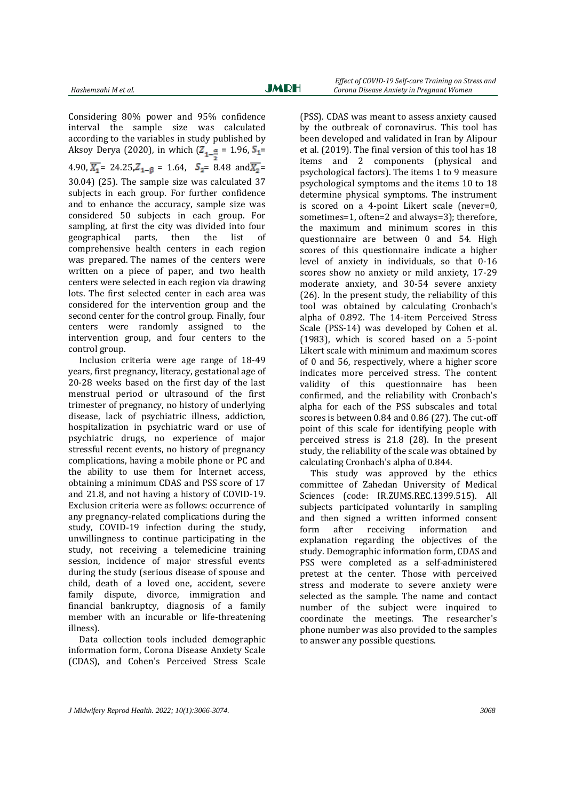Considering 80% power and 95% confidence interval the sample size was calculated according to the variables in study published by Aksoy Derya (2020), in which  $(Z_{1-\frac{\alpha}{2}} = 1.96, S_{1} = 1.1)$ 4.90,  $\overline{X_1}$  = 24.25,  $Z_{1-\beta}$  = 1.64,  $S_2$  = 8.48 and  $\overline{X_2}$  = 30.04) (25). The sample size was calculated 37 subjects in each group. For further confidence and to enhance the accuracy, sample size was considered 50 subjects in each group. For sampling, at first the city was divided into four geographical parts, then the list of comprehensive health centers in each region was prepared. The names of the centers were written on a piece of paper, and two health centers were selected in each region via drawing lots. The first selected center in each area was considered for the intervention group and the second center for the control group. Finally, four centers were randomly assigned to the intervention group, and four centers to the control group.

Inclusion criteria were age range of 18-49 years, first pregnancy, literacy, gestational age of 20-28 weeks based on the first day of the last menstrual period or ultrasound of the first trimester of pregnancy, no history of underlying disease, lack of psychiatric illness, addiction, hospitalization in psychiatric ward or use of psychiatric drugs, no experience of major stressful recent events, no history of pregnancy complications, having a mobile phone or PC and the ability to use them for Internet access, obtaining a minimum CDAS and PSS score of 17 and 21.8, and not having a history of COVID-19. Exclusion criteria were as follows: occurrence of any pregnancy-related complications during the study, COVID-19 infection during the study, unwillingness to continue participating in the study, not receiving a telemedicine training session, incidence of major stressful events during the study (serious disease of spouse and child, death of a loved one, accident, severe family dispute, divorce, immigration and financial bankruptcy, diagnosis of a family member with an incurable or life-threatening illness).

Data collection tools included demographic information form, Corona Disease Anxiety Scale (CDAS), and Cohen's Perceived Stress Scale

(PSS). CDAS was meant to assess anxiety caused by the outbreak of coronavirus. This tool has been developed and validated in Iran by Alipour et al. (2019). The final version of this tool has 18 items and 2 components (physical and psychological factors). The items 1 to 9 measure psychological symptoms and the items 10 to 18 determine physical symptoms. The instrument is scored on a 4-point Likert scale (never=0, sometimes=1, often=2 and always=3); therefore, the maximum and minimum scores in this questionnaire are between 0 and 54. High scores of this questionnaire indicate a higher level of anxiety in individuals, so that 0-16 scores show no anxiety or mild anxiety, 17-29 moderate anxiety, and 30-54 severe anxiety (26). In the present study, the reliability of this tool was obtained by calculating Cronbach's alpha of 0.892. The 14-item Perceived Stress Scale (PSS-14) was developed by Cohen et al. (1983), which is scored based on a 5-point Likert scale with minimum and maximum scores of 0 and 56, respectively, where a higher score indicates more perceived stress. The content validity of this questionnaire has been confirmed, and the reliability with Cronbach's alpha for each of the PSS subscales and total scores is between 0.84 and 0.86 (27). The cut-off point of this scale for identifying people with perceived stress is 21.8 (28). In the present study, the reliability of the scale was obtained by calculating Cronbach's alpha of 0.844.

This study was approved by the ethics committee of Zahedan University of Medical Sciences (code: IR.ZUMS.REC.1399.515). All subjects participated voluntarily in sampling and then signed a written informed consent form after receiving information and explanation regarding the objectives of the study. Demographic information form, CDAS and PSS were completed as a self-administered pretest at the center. Those with perceived stress and moderate to severe anxiety were selected as the sample. The name and contact number of the subject were inquired to coordinate the meetings. The researcher's phone number was also provided to the samples to answer any possible questions.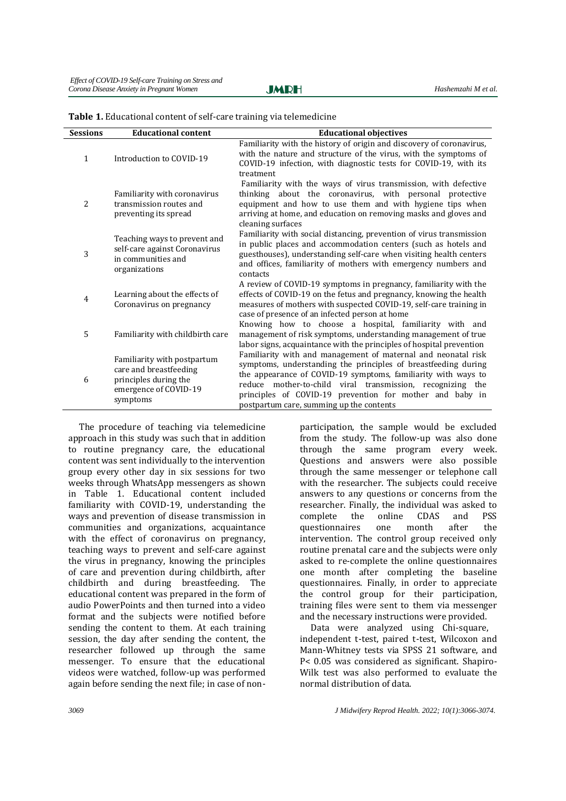**JMRH** 

| <b>Sessions</b> | <b>Educational content</b>                                                                                          | <b>Educational objectives</b>                                                                                                                                                                                                                                                                                                                                          |
|-----------------|---------------------------------------------------------------------------------------------------------------------|------------------------------------------------------------------------------------------------------------------------------------------------------------------------------------------------------------------------------------------------------------------------------------------------------------------------------------------------------------------------|
| $\mathbf{1}$    | Introduction to COVID-19                                                                                            | Familiarity with the history of origin and discovery of coronavirus,<br>with the nature and structure of the virus, with the symptoms of<br>COVID-19 infection, with diagnostic tests for COVID-19, with its<br>treatment                                                                                                                                              |
| 2               | Familiarity with coronavirus<br>transmission routes and<br>preventing its spread                                    | Familiarity with the ways of virus transmission, with defective<br>thinking about the coronavirus, with personal protective<br>equipment and how to use them and with hygiene tips when<br>arriving at home, and education on removing masks and gloves and<br>cleaning surfaces                                                                                       |
| 3               | Teaching ways to prevent and<br>self-care against Coronavirus<br>in communities and<br>organizations                | Familiarity with social distancing, prevention of virus transmission<br>in public places and accommodation centers (such as hotels and<br>guesthouses), understanding self-care when visiting health centers<br>and offices, familiarity of mothers with emergency numbers and<br>contacts                                                                             |
| 4               | Learning about the effects of<br>Coronavirus on pregnancy                                                           | A review of COVID-19 symptoms in pregnancy, familiarity with the<br>effects of COVID-19 on the fetus and pregnancy, knowing the health<br>measures of mothers with suspected COVID-19, self-care training in<br>case of presence of an infected person at home<br>Knowing how to choose a hospital, familiarity with and                                               |
| 5               | Familiarity with childbirth care                                                                                    | management of risk symptoms, understanding management of true<br>labor signs, acquaintance with the principles of hospital prevention                                                                                                                                                                                                                                  |
| 6               | Familiarity with postpartum<br>care and breastfeeding<br>principles during the<br>emergence of COVID-19<br>symptoms | Familiarity with and management of maternal and neonatal risk<br>symptoms, understanding the principles of breastfeeding during<br>the appearance of COVID-19 symptoms, familiarity with ways to<br>reduce mother-to-child viral transmission, recognizing the<br>principles of COVID-19 prevention for mother and baby in<br>postpartum care, summing up the contents |

|  | Table 1. Educational content of self-care training via telemedicine |  |  |
|--|---------------------------------------------------------------------|--|--|
|--|---------------------------------------------------------------------|--|--|

The procedure of teaching via telemedicine approach in this study was such that in addition to routine pregnancy care, the educational content was sent individually to the intervention group every other day in six sessions for two weeks through WhatsApp messengers as shown in Table 1. Educational content included familiarity with COVID-19, understanding the ways and prevention of disease transmission in communities and organizations, acquaintance with the effect of coronavirus on pregnancy, teaching ways to prevent and self-care against the virus in pregnancy, knowing the principles of care and prevention during childbirth, after childbirth and during breastfeeding. The educational content was prepared in the form of audio PowerPoints and then turned into a video format and the subjects were notified before sending the content to them. At each training session, the day after sending the content, the researcher followed up through the same messenger. To ensure that the educational videos were watched, follow-up was performed again before sending the next file; in case of nonparticipation, the sample would be excluded from the study. The follow-up was also done through the same program every week. Questions and answers were also possible through the same messenger or telephone call with the researcher. The subjects could receive answers to any questions or concerns from the researcher. Finally, the individual was asked to complete the online CDAS and PSS questionnaires one month after the intervention. The control group received only routine prenatal care and the subjects were only asked to re-complete the online questionnaires one month after completing the baseline questionnaires. Finally, in order to appreciate the control group for their participation, training files were sent to them via messenger and the necessary instructions were provided.

Data were analyzed using Chi-square, independent t-test, paired t-test, Wilcoxon and Mann-Whitney tests via SPSS 21 software, and P< 0.05 was considered as significant. Shapiro-Wilk test was also performed to evaluate the normal distribution of data.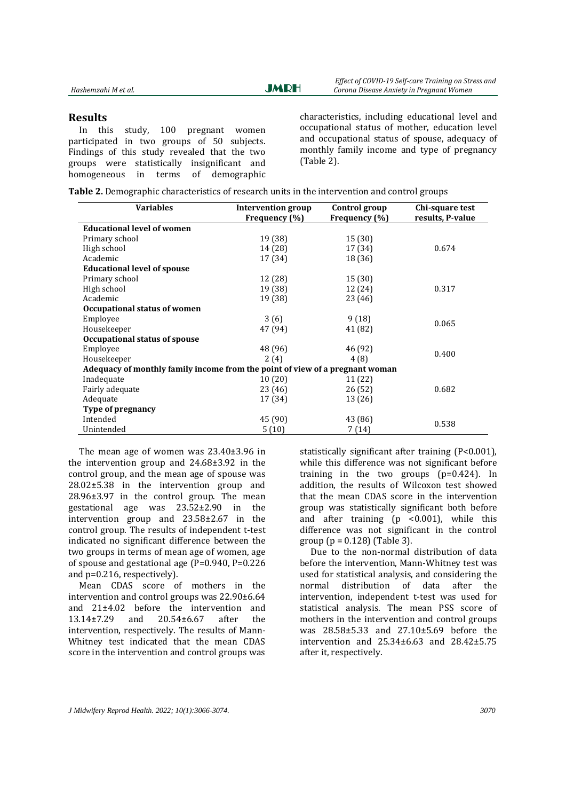**JMRH** 

#### **Results**

In this study, 100 pregnant women participated in two groups of 50 subjects. Findings of this study revealed that the two groups were statistically insignificant and homogeneous in terms of demographic characteristics, including educational level and occupational status of mother, education level and occupational status of spouse, adequacy of monthly family income and type of pregnancy (Table 2).

| Table 2. Demographic characteristics of research units in the intervention and control groups |  |  |  |
|-----------------------------------------------------------------------------------------------|--|--|--|
|-----------------------------------------------------------------------------------------------|--|--|--|

| <b>Variables</b>                                                             | Intervention group | Control group | Chi-square test  |  |  |
|------------------------------------------------------------------------------|--------------------|---------------|------------------|--|--|
|                                                                              | Frequency (%)      | Frequency (%) | results, P-value |  |  |
| <b>Educational level of women</b>                                            |                    |               |                  |  |  |
| Primary school                                                               | 19 (38)            | 15 (30)       |                  |  |  |
| High school                                                                  | 14 (28)            | 17 (34)       | 0.674            |  |  |
| Academic                                                                     | 17 (34)            | 18 (36)       |                  |  |  |
| <b>Educational level of spouse</b>                                           |                    |               |                  |  |  |
| Primary school                                                               | 12 (28)            | 15 (30)       |                  |  |  |
| High school                                                                  | 19 (38)            | 12 (24)       | 0.317            |  |  |
| Academic                                                                     | 19 (38)            | 23 (46)       |                  |  |  |
| Occupational status of women                                                 |                    |               |                  |  |  |
| Employee                                                                     | 3(6)               | 9(18)         | 0.065            |  |  |
| Housekeeper                                                                  | 47 (94)            | 41 (82)       |                  |  |  |
| Occupational status of spouse                                                |                    |               |                  |  |  |
| Employee                                                                     | 48 (96)            | 46 (92)       | 0.400            |  |  |
| Housekeeper                                                                  | 2(4)               | 4(8)          |                  |  |  |
| Adequacy of monthly family income from the point of view of a pregnant woman |                    |               |                  |  |  |
| Inadequate                                                                   | 10(20)             | 11 (22)       |                  |  |  |
| Fairly adequate                                                              | 23 (46)            | 26 (52)       | 0.682            |  |  |
| Adequate                                                                     | 17 (34)            | 13 (26)       |                  |  |  |
| Type of pregnancy                                                            |                    |               |                  |  |  |
| Intended                                                                     | 45 (90)            | 43 (86)       | 0.538            |  |  |
| Unintended                                                                   | 5(10)              | 7 (14)        |                  |  |  |

The mean age of women was 23.40±3.96 in the intervention group and 24.68±3.92 in the control group, and the mean age of spouse was 28.02±5.38 in the intervention group and 28.96±3.97 in the control group. The mean gestational age was 23.52±2.90 in the intervention group and 23.58±2.67 in the control group. The results of independent t-test indicated no significant difference between the two groups in terms of mean age of women, age of spouse and gestational age (P=0.940, P=0.226 and p=0.216, respectively).

Mean CDAS score of mothers in the intervention and control groups was 22.90±6.64 and 21±4.02 before the intervention and 13.14±7.29 and 20.54±6.67 after the intervention, respectively. The results of Mann-Whitney test indicated that the mean CDAS score in the intervention and control groups was

statistically significant after training (P<0.001), while this difference was not significant before training in the two groups  $(p=0.424)$ . In addition, the results of Wilcoxon test showed that the mean CDAS score in the intervention group was statistically significant both before and after training (p <0.001), while this difference was not significant in the control group ( $p = 0.128$ ) (Table 3).

Due to the non-normal distribution of data before the intervention, Mann-Whitney test was used for statistical analysis, and considering the normal distribution of data after the intervention, independent t-test was used for statistical analysis. The mean PSS score of mothers in the intervention and control groups was 28.58±5.33 and 27.10±5.69 before the intervention and 25.34±6.63 and 28.42±5.75 after it, respectively.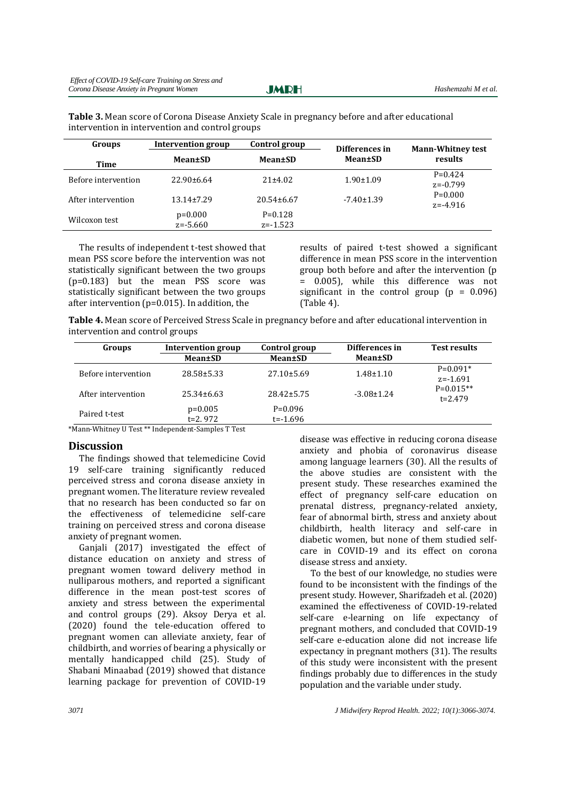**JMRH** 

| Groups              | <b>Intervention group</b> | Control group<br>Differences in |                  | <b>Mann-Whitney test</b>  |
|---------------------|---------------------------|---------------------------------|------------------|---------------------------|
| Time                | Mean±SD                   | Mean±SD                         | Mean±SD          | results                   |
| Before intervention | $22.90\pm 6.64$           | 21±4.02                         | $1.90 \pm 1.09$  | $P=0.424$<br>$z = -0.799$ |
| After intervention  | $13.14 \pm 7.29$          | $20.54 \pm 6.67$                | $-7.40 \pm 1.39$ | $P=0.000$<br>$z = -4.916$ |
| Wilcoxon test       | $p=0.000$<br>$z = -5.660$ | $P=0.128$<br>$z = -1.523$       |                  |                           |

**Table 3.** Mean score of Corona Disease Anxiety Scale in pregnancy before and after educational intervention in intervention and control groups

The results of independent t-test showed that mean PSS score before the intervention was not statistically significant between the two groups (p=0.183) but the mean PSS score was statistically significant between the two groups after intervention (p=0.015). In addition, the

results of paired t-test showed a significant difference in mean PSS score in the intervention group both before and after the intervention (p = 0.005), while this difference was not significant in the control group  $(p = 0.096)$ (Table 4).

**Table 4.** Mean score of Perceived Stress Scale in pregnancy before and after educational intervention in intervention and control groups

| Groups              | <b>Intervention group</b> | Control group             | Differences in   | <b>Test results</b>        |
|---------------------|---------------------------|---------------------------|------------------|----------------------------|
|                     | Mean±SD                   | <b>Mean</b> ±SD           | Mean±SD          |                            |
| Before intervention | 28.58±5.33                | $27.10\pm5.69$            | $1.48 \pm 1.10$  | $P=0.091*$<br>$z = -1.691$ |
| After intervention  | $25.34\pm 6.63$           | $28.42 \pm 5.75$          | $-3.08 \pm 1.24$ | $P=0.015**$<br>$t = 2.479$ |
| Paired t-test       | $p=0.005$<br>$t=2.972$    | $P=0.096$<br>$t = -1.696$ |                  |                            |

\*Mann-Whitney U Test \*\* Independent-Samples T Test

## **Discussion**

The findings showed that telemedicine Covid 19 self-care training significantly reduced perceived stress and corona disease anxiety in pregnant women. The literature review revealed that no research has been conducted so far on the effectiveness of telemedicine self-care training on perceived stress and corona disease anxiety of pregnant women.

Ganjali (2017) investigated the effect of distance education on anxiety and stress of pregnant women toward delivery method in nulliparous mothers, and reported a significant difference in the mean post-test scores of anxiety and stress between the experimental and control groups (29). Aksoy Derya et al. (2020) found the tele-education offered to pregnant women can alleviate anxiety, fear of childbirth, and worries of bearing a physically or mentally handicapped child (25). Study of Shabani Minaabad (2019) showed that distance learning package for prevention of COVID-19

disease was effective in reducing corona disease anxiety and phobia of coronavirus disease among language learners (30). All the results of the above studies are consistent with the present study. These researches examined the effect of pregnancy self-care education on prenatal distress, pregnancy-related anxiety, fear of abnormal birth, stress and anxiety about childbirth, health literacy and self-care in diabetic women, but none of them studied selfcare in COVID-19 and its effect on corona disease stress and anxiety.

To the best of our knowledge, no studies were found to be inconsistent with the findings of the present study. However, Sharifzadeh et al. (2020) examined the effectiveness of COVID-19-related self-care e-learning on life expectancy of pregnant mothers, and concluded that COVID-19 self-care e-education alone did not increase life expectancy in pregnant mothers (31). The results of this study were inconsistent with the present findings probably due to differences in the study population and the variable under study.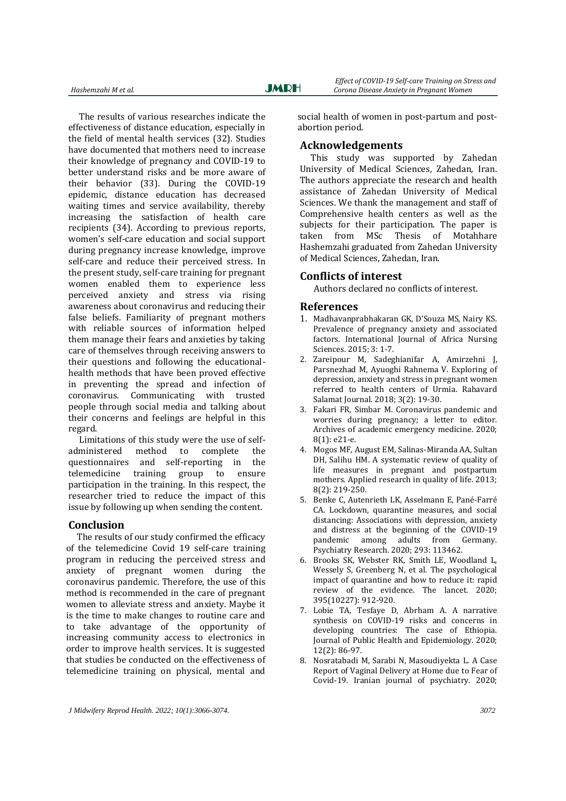The results of various researches indicate the effectiveness of distance education, especially in the field of mental health services (32). Studies have documented that mothers need to increase their knowledge of pregnancy and COVID-19 to better understand risks and be more aware of their behavior (33). During the COVID-19 epidemic, distance education has decreased waiting times and service availability, thereby increasing the satisfaction of health care recipients (34). According to previous reports, women's self-care education and social support during pregnancy increase knowledge, improve self-care and reduce their perceived stress. In the present study, self-care training for pregnant women enabled them to experience less perceived anxiety and stress via rising awareness about coronavirus and reducing their false beliefs. Familiarity of pregnant mothers with reliable sources of information helped them manage their fears and anxieties by taking care of themselves through receiving answers to their questions and following the educationalhealth methods that have been proved effective in preventing the spread and infection of coronavirus. Communicating with trusted people through social media and talking about their concerns and feelings are helpful in this regard.

Limitations of this study were the use of selfadministered method to complete the questionnaires and self-reporting in the telemedicine training group to ensure participation in the training. In this respect, the researcher tried to reduce the impact of this issue by following up when sending the content.

#### **Conclusion**

The results of our study confirmed the efficacy of the telemedicine Covid 19 self-care training program in reducing the perceived stress and anxiety of pregnant women during the coronavirus pandemic. Therefore, the use of this method is recommended in the care of pregnant women to alleviate stress and anxiety. Maybe it is the time to make changes to routine care and to take advantage of the opportunity of increasing community access to electronics in order to improve health services. It is suggested that studies be conducted on the effectiveness of telemedicine training on physical, mental and

social health of women in post-partum and postabortion period.

#### **Acknowledgements**

This study was supported by Zahedan University of Medical Sciences, Zahedan, Iran. The authors appreciate the research and health assistance of Zahedan University of Medical Sciences. We thank the management and staff of Comprehensive health centers as well as the subjects for their participation. The paper is taken from MSc Thesis of Motahhare Hashemzahi graduated from Zahedan University of Medical Sciences, Zahedan, Iran.

#### **Conflicts of interest**

Authors declared no conflicts of interest.

#### **References**

- 1. Madhavanprabhakaran GK, D'Souza MS, Nairy KS. Prevalence of pregnancy anxiety and associated factors. International Journal of Africa Nursing Sciences. 2015; 3: 1-7.
- 2. Zareipour M, Sadeghianifar A, Amirzehni J, Parsnezhad M, Ayuoghi Rahnema V. Exploring of depression, anxiety and stress in pregnant women referred to health centers of Urmia. Rahavard Salamat Journal. 2018; 3(2): 19-30.
- 3. Fakari FR, Simbar M. Coronavirus pandemic and worries during pregnancy; a letter to editor. Archives of academic emergency medicine. 2020; 8(1): e21-e.
- 4. Mogos MF, August EM, Salinas-Miranda AA, Sultan DH, Salihu HM. A systematic review of quality of life measures in pregnant and postpartum mothers. Applied research in quality of life. 2013; 8(2): 219-250.
- 5. Benke C, Autenrieth LK, Asselmann E, Pané-Farré CA. Lockdown, quarantine measures, and social distancing: Associations with depression, anxiety and distress at the beginning of the COVID-19 pandemic among adults from Germany. Psychiatry Research. 2020; 293: 113462.
- 6. Brooks SK, Webster RK, Smith LE, Woodland L, Wessely S, Greenberg N, et al. The psychological impact of quarantine and how to reduce it: rapid review of the evidence. The lancet. 2020; 395(10227): 912-920.
- 7. Lobie TA, Tesfaye D, Abrham A. A narrative synthesis on COVID-19 risks and concerns in developing countries: The case of Ethiopia. Journal of Public Health and Epidemiology. 2020; 12(2): 86-97.
- 8. Nosratabadi M, Sarabi N, Masoudiyekta L. A Case Report of Vaginal Delivery at Home due to Fear of Covid-19. Iranian journal of psychiatry. 2020;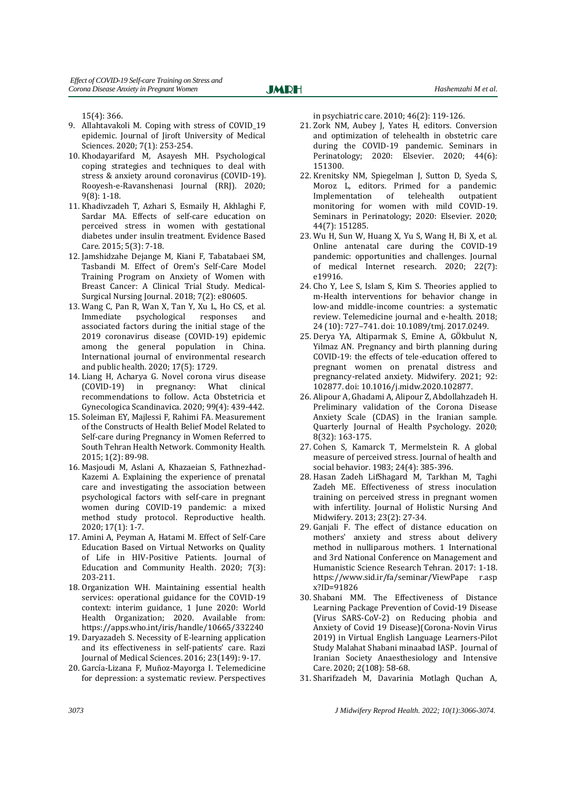15(4): 366.

- 9. Allahtavakoli M. Coping with stress of COVID\_19 epidemic. Journal of Jiroft University of Medical Sciences. 2020; 7(1): 253-254.
- 10. Khodayarifard M, Asayesh MH. Psychological coping strategies and techniques to deal with stress & anxiety around coronavirus (COVID-19). Rooyesh-e-Ravanshenasi Journal (RRJ). 2020; 9(8): 1-18.
- 11. Khadivzadeh T, Azhari S, Esmaily H, Akhlaghi F, Sardar MA. Effects of self-care education on perceived stress in women with gestational diabetes under insulin treatment. Evidence Based Care. 2015; 5(3): 7-18.
- 12. Jamshidzahe Dejange M, Kiani F, Tabatabaei SM, Tasbandi M. Effect of Orem's Self-Care Model Training Program on Anxiety of Women with Breast Cancer: A Clinical Trial Study. Medical-Surgical Nursing Journal. 2018; 7(2): e80605.
- 13. Wang C, Pan R, Wan X, Tan Y, Xu L, Ho CS, et al. Immediate psychological responses and associated factors during the initial stage of the 2019 coronavirus disease (COVID-19) epidemic among the general population in China. International journal of environmental research and public health. 2020; 17(5): 1729.
- 14. Liang H, Acharya G. Novel corona virus disease (COVID-19) in pregnancy: What clinical recommendations to follow. Acta Obstetricia et Gynecologica Scandinavica. 2020; 99(4): 439-442.
- 15. Soleiman EY, Majlessi F, Rahimi FA. Measurement of the Constructs of Health Belief Model Related to Self-care during Pregnancy in Women Referred to South Tehran Health Network. Commonity Health. 2015; 1(2): 89-98.
- 16. Masjoudi M, Aslani A, Khazaeian S, Fathnezhad-Kazemi A. Explaining the experience of prenatal care and investigating the association between psychological factors with self-care in pregnant women during COVID-19 pandemic: a mixed method study protocol. Reproductive health. 2020; 17(1): 1-7.
- 17. Amini A, Peyman A, Hatami M. Effect of Self-Care Education Based on Virtual Networks on Quality of Life in HIV-Positive Patients. Journal of Education and Community Health. 2020; 7(3): 203-211.
- 18. Organization WH. Maintaining essential health services: operational guidance for the COVID-19 context: interim guidance, 1 June 2020: World Health Organization; 2020. Available from: <https://apps.who.int/iris/handle/10665/332240>
- 19. Daryazadeh S. Necessity of E-learning application and its effectiveness in self-patients' care. Razi Journal of Medical Sciences. 2016; 23(149): 9-17.
- 20. García‐Lizana F, Muñoz‐Mayorga I. Telemedicine for depression: a systematic review. Perspectives

in psychiatric care. 2010; 46(2): 119-126.

- 21. Zork NM, Aubey J, Yates H, editors. Conversion and optimization of telehealth in obstetric care during the COVID-19 pandemic. Seminars in Perinatology; 2020: Elsevier. 2020; 44(6): 151300.
- 22. Krenitsky NM, Spiegelman J, Sutton D, Syeda S, Moroz L, editors. Primed for a pandemic: Implementation of telehealth outpatient monitoring for women with mild COVID-19. Seminars in Perinatology; 2020: Elsevier. 2020; 44(7): 151285.
- 23. Wu H, Sun W, Huang X, Yu S, Wang H, Bi X, et al. Online antenatal care during the COVID-19 pandemic: opportunities and challenges. Journal of medical Internet research. 2020; 22(7): e19916.
- 24. Cho Y, Lee S, Islam S, Kim S. Theories applied to m-Health interventions for behavior change in low-and middle-income countries: a systematic review. Telemedicine journal and e-health. 2018; 24 (10): 727–741. doi: 10.1089/tmj. 2017.0249.
- 25. Derya YA, Altiparmak S, Emine A, GÖkbulut N, Yilmaz AN. Pregnancy and birth planning during COVID-19: the effects of tele-education offered to pregnant women on prenatal distress and pregnancy-related anxiety. Midwifery. 2021; 92: 102877. doi: 10.1016/j.midw.2020.102877.
- 26. Alipour A, Ghadami A, Alipour Z, Abdollahzadeh H. Preliminary validation of the Corona Disease Anxiety Scale (CDAS) in the Iranian sample. Quarterly Journal of Health Psychology. 2020; 8(32): 163-175.
- 27. Cohen S, Kamarck T, Mermelstein R. A global measure of perceived stress. Journal of health and social behavior. 1983; 24(4): 385-396.
- 28. Hasan Zadeh LifShagard M, Tarkhan M, Taghi Zadeh ME. Effectiveness of stress inoculation training on perceived stress in pregnant women with infertility. Journal of Holistic Nursing And Midwifery. 2013; 23(2): 27-34.
- 29. Ganjali F. The effect of distance education on mothers' anxiety and stress about delivery method in nulliparous mothers. 1 International and 3rd National Conference on Management and Humanistic Science Research Tehran. 2017: 1-18. https://www.sid.ir/fa/seminar/ViewPape r.asp x?ID=91826
- 30. Shabani MM. The Effectiveness of Distance Learning Package Prevention of Covid-19 Disease (Virus SARS-CoV-2) on Reducing phobia and Anxiety of Covid 19 Disease)(Corona-Novin Virus 2019) in Virtual English Language Learners-Pilot Study Malahat Shabani minaabad IASP. Journal of Iranian Society Anaesthesiology and Intensive Care. 2020; 2(108): 58-68.
- 31. Sharifzadeh M, Davarinia Motlagh Quchan A,

*3073 J Midwifery Reprod Health. 2022; 10(1):3066-3074.*